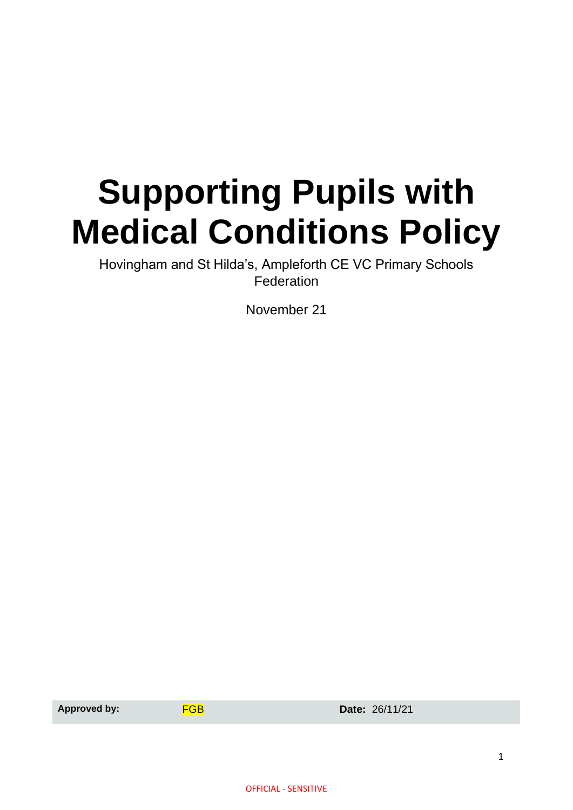# **Supporting Pupils with Medical Conditions Policy**

Hovingham and St Hilda's, Ampleforth CE VC Primary Schools Federation

November 21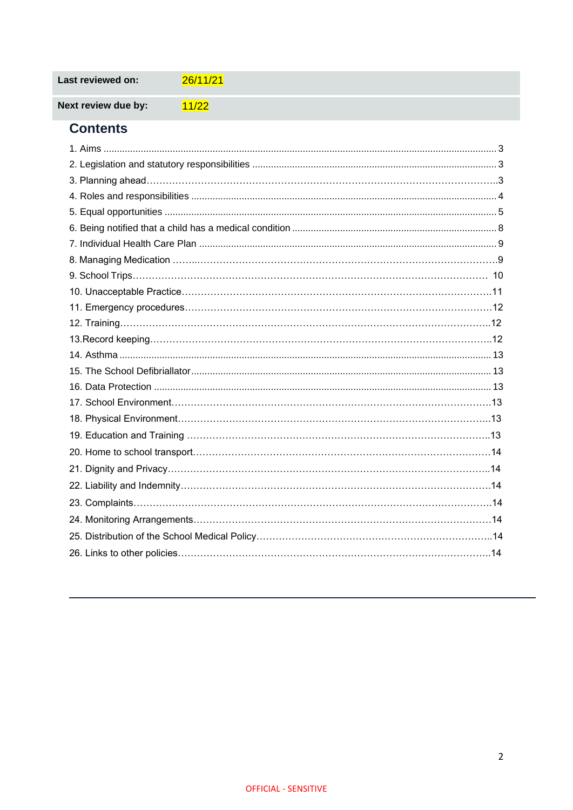| Last reviewed on: | 26/11/21 |
|-------------------|----------|
|-------------------|----------|

Next review due by:  $11/22$ 

## **Contents**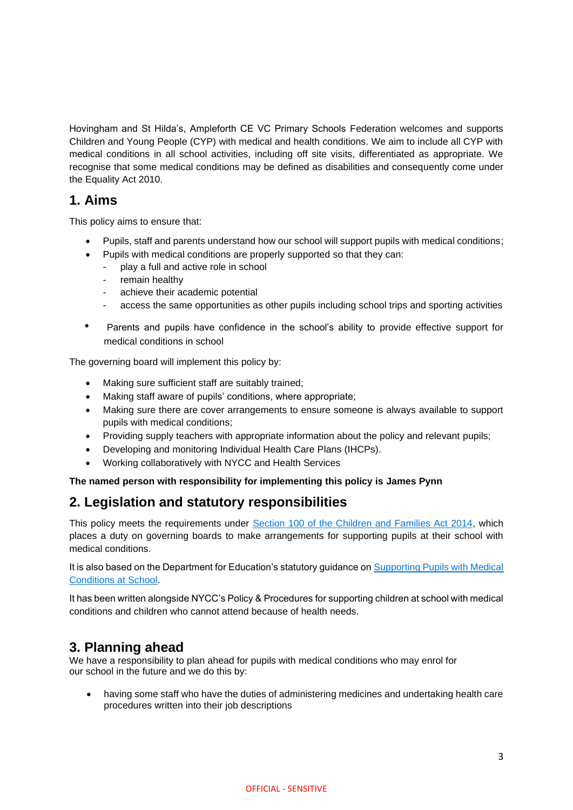Hovingham and St Hilda's, Ampleforth CE VC Primary Schools Federation welcomes and supports Children and Young People (CYP) with medical and health conditions. We aim to include all CYP with medical conditions in all school activities, including off site visits, differentiated as appropriate. We recognise that some medical conditions may be defined as disabilities and consequently come under the Equality Act 2010.

## **1. Aims**

This policy aims to ensure that:

- Pupils, staff and parents understand how our school will support pupils with medical conditions;
- Pupils with medical conditions are properly supported so that they can:
	- play a full and active role in school
	- remain healthy
	- achieve their academic potential
	- access the same opportunities as other pupils including school trips and sporting activities
- Parents and pupils have confidence in the school's ability to provide effective support for medical conditions in school

The governing board will implement this policy by:

- Making sure sufficient staff are suitably trained;
- Making staff aware of pupils' conditions, where appropriate;
- Making sure there are cover arrangements to ensure someone is always available to support pupils with medical conditions;
- Providing supply teachers with appropriate information about the policy and relevant pupils;
- Developing and monitoring Individual Health Care Plans (IHCPs).
- Working collaboratively with NYCC and Health Services

**The named person with responsibility for implementing this policy is James Pynn**

# **2. Legislation and statutory responsibilities**

This policy meets the requirements under [Section 100 of the Children and Families Act 2014,](http://www.legislation.gov.uk/ukpga/2014/6/part/5/crossheading/pupils-with-medical-conditions) which places a duty on governing boards to make arrangements for supporting pupils at their school with medical conditions.

It is also based on the Department for Education's statutory guidance on [Supporting Pupils with Medical](https://www.gov.uk/government/publications/supporting-pupils-at-school-with-medical-conditions--3)  [Conditions at School.](https://www.gov.uk/government/publications/supporting-pupils-at-school-with-medical-conditions--3)

It has been written alongside NYCC's Policy & Procedures for supporting children at school with medical conditions and children who cannot attend because of health needs.

## **3. Planning ahead**

We have a responsibility to plan ahead for pupils with medical conditions who may enrol for our school in the future and we do this by:

• having some staff who have the duties of administering medicines and undertaking health care procedures written into their job descriptions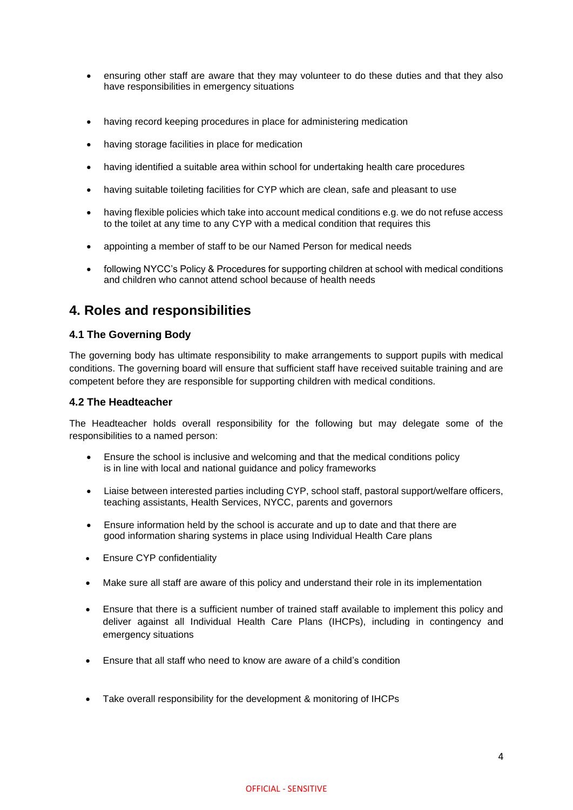- ensuring other staff are aware that they may volunteer to do these duties and that they also have responsibilities in emergency situations
- having record keeping procedures in place for administering medication
- having storage facilities in place for medication
- having identified a suitable area within school for undertaking health care procedures
- having suitable toileting facilities for CYP which are clean, safe and pleasant to use
- having flexible policies which take into account medical conditions e.g. we do not refuse access to the toilet at any time to any CYP with a medical condition that requires this
- appointing a member of staff to be our Named Person for medical needs
- following NYCC's Policy & Procedures for supporting children at school with medical conditions and children who cannot attend school because of health needs

## **4. Roles and responsibilities**

#### **4.1 The Governing Body**

The governing body has ultimate responsibility to make arrangements to support pupils with medical conditions. The governing board will ensure that sufficient staff have received suitable training and are competent before they are responsible for supporting children with medical conditions.

#### **4.2 The Headteacher**

The Headteacher holds overall responsibility for the following but may delegate some of the responsibilities to a named person:

- Ensure the school is inclusive and welcoming and that the medical conditions policy is in line with local and national guidance and policy frameworks
- Liaise between interested parties including CYP, school staff, pastoral support/welfare officers, teaching assistants, Health Services, NYCC, parents and governors
- Ensure information held by the school is accurate and up to date and that there are good information sharing systems in place using Individual Health Care plans
- Ensure CYP confidentiality
- Make sure all staff are aware of this policy and understand their role in its implementation
- Ensure that there is a sufficient number of trained staff available to implement this policy and deliver against all Individual Health Care Plans (IHCPs), including in contingency and emergency situations
- Ensure that all staff who need to know are aware of a child's condition
- Take overall responsibility for the development & monitoring of IHCPs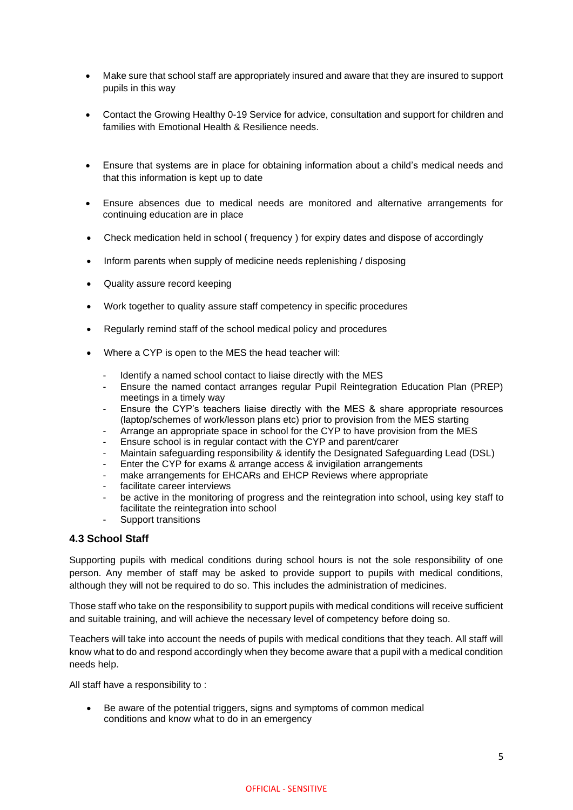- Make sure that school staff are appropriately insured and aware that they are insured to support pupils in this way
- Contact the Growing Healthy 0-19 Service for advice, consultation and support for children and families with Emotional Health & Resilience needs.
- Ensure that systems are in place for obtaining information about a child's medical needs and that this information is kept up to date
- Ensure absences due to medical needs are monitored and alternative arrangements for continuing education are in place
- Check medication held in school ( frequency ) for expiry dates and dispose of accordingly
- Inform parents when supply of medicine needs replenishing / disposing
- Quality assure record keeping
- Work together to quality assure staff competency in specific procedures
- Regularly remind staff of the school medical policy and procedures
- Where a CYP is open to the MES the head teacher will:
	- Identify a named school contact to liaise directly with the MES
	- Ensure the named contact arranges regular Pupil Reintegration Education Plan (PREP) meetings in a timely way
	- Ensure the CYP's teachers liaise directly with the MES & share appropriate resources (laptop/schemes of work/lesson plans etc) prior to provision from the MES starting
	- Arrange an appropriate space in school for the CYP to have provision from the MES
	- Ensure school is in regular contact with the CYP and parent/carer
	- Maintain safeguarding responsibility & identify the Designated Safeguarding Lead (DSL)
	- Enter the CYP for exams & arrange access & invigilation arrangements
	- make arrangements for EHCARs and EHCP Reviews where appropriate
	- facilitate career interviews
	- be active in the monitoring of progress and the reintegration into school, using key staff to facilitate the reintegration into school
	- Support transitions

#### **4.3 School Staff**

Supporting pupils with medical conditions during school hours is not the sole responsibility of one person. Any member of staff may be asked to provide support to pupils with medical conditions, although they will not be required to do so. This includes the administration of medicines.

Those staff who take on the responsibility to support pupils with medical conditions will receive sufficient and suitable training, and will achieve the necessary level of competency before doing so.

Teachers will take into account the needs of pupils with medical conditions that they teach. All staff will know what to do and respond accordingly when they become aware that a pupil with a medical condition needs help.

All staff have a responsibility to :

• Be aware of the potential triggers, signs and symptoms of common medical conditions and know what to do in an emergency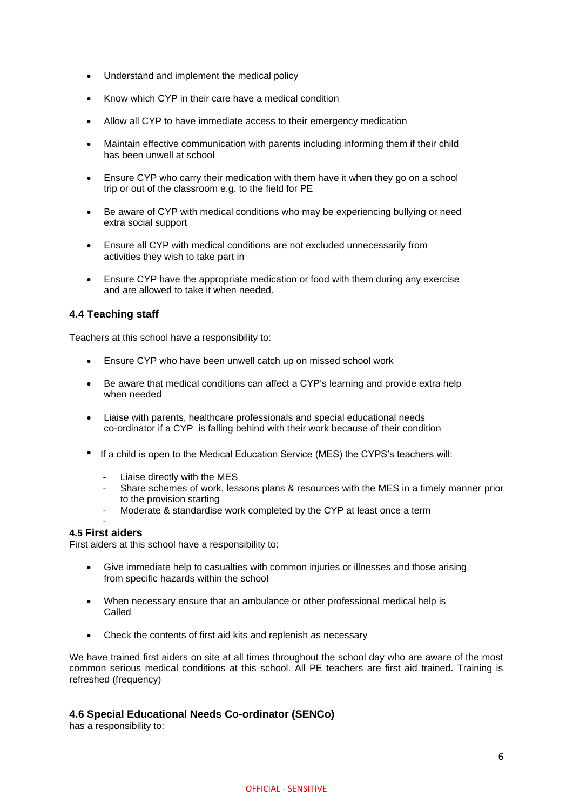- Understand and implement the medical policy
- Know which CYP in their care have a medical condition
- Allow all CYP to have immediate access to their emergency medication
- Maintain effective communication with parents including informing them if their child has been unwell at school
- Ensure CYP who carry their medication with them have it when they go on a school trip or out of the classroom e.g. to the field for PE
- Be aware of CYP with medical conditions who may be experiencing bullying or need extra social support
- Ensure all CYP with medical conditions are not excluded unnecessarily from activities they wish to take part in
- Ensure CYP have the appropriate medication or food with them during any exercise and are allowed to take it when needed.

#### **4.4 Teaching staff**

Teachers at this school have a responsibility to:

- Ensure CYP who have been unwell catch up on missed school work
- Be aware that medical conditions can affect a CYP's learning and provide extra help when needed
- Liaise with parents, healthcare professionals and special educational needs co-ordinator if a CYP is falling behind with their work because of their condition
- If a child is open to the Medical Education Service (MES) the CYPS's teachers will:
	- Liaise directly with the MES
	- Share schemes of work, lessons plans & resources with the MES in a timely manner prior to the provision starting
	- Moderate & standardise work completed by the CYP at least once a term

#### - **4.5 First aiders**

First aiders at this school have a responsibility to:

- Give immediate help to casualties with common injuries or illnesses and those arising from specific hazards within the school
- When necessary ensure that an ambulance or other professional medical help is Called
- Check the contents of first aid kits and replenish as necessary

We have trained first aiders on site at all times throughout the school day who are aware of the most common serious medical conditions at this school. All PE teachers are first aid trained. Training is refreshed (frequency)

#### **4.6 Special Educational Needs Co-ordinator (SENCo)**

has a responsibility to: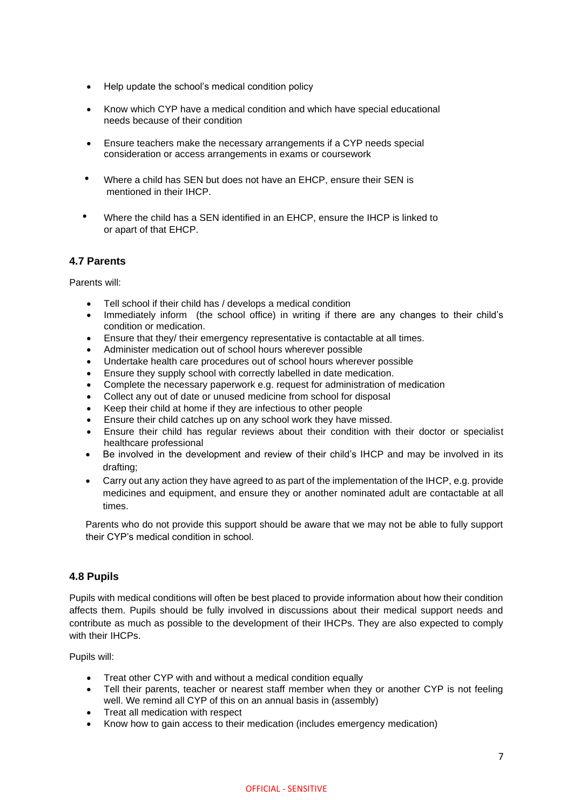- Help update the school's medical condition policy
- Know which CYP have a medical condition and which have special educational needs because of their condition
- Ensure teachers make the necessary arrangements if a CYP needs special consideration or access arrangements in exams or coursework
- Where a child has SEN but does not have an EHCP, ensure their SEN is mentioned in their IHCP.
- Where the child has a SEN identified in an EHCP, ensure the IHCP is linked to or apart of that EHCP.

## **4.7 Parents**

Parents will:

- Tell school if their child has / develops a medical condition
- Immediately inform (the school office) in writing if there are any changes to their child's condition or medication.
- Ensure that they/ their emergency representative is contactable at all times.
- Administer medication out of school hours wherever possible
- Undertake health care procedures out of school hours wherever possible
- Ensure they supply school with correctly labelled in date medication.
- Complete the necessary paperwork e.g. request for administration of medication
- Collect any out of date or unused medicine from school for disposal
- Keep their child at home if they are infectious to other people
- Ensure their child catches up on any school work they have missed.
- Ensure their child has regular reviews about their condition with their doctor or specialist healthcare professional
- Be involved in the development and review of their child's IHCP and may be involved in its drafting;
- Carry out any action they have agreed to as part of the implementation of the IHCP, e.g. provide medicines and equipment, and ensure they or another nominated adult are contactable at all times.

Parents who do not provide this support should be aware that we may not be able to fully support their CYP's medical condition in school.

## **4.8 Pupils**

Pupils with medical conditions will often be best placed to provide information about how their condition affects them. Pupils should be fully involved in discussions about their medical support needs and contribute as much as possible to the development of their IHCPs. They are also expected to comply with their IHCPs.

Pupils will:

- Treat other CYP with and without a medical condition equally
- Tell their parents, teacher or nearest staff member when they or another CYP is not feeling well. We remind all CYP of this on an annual basis in (assembly)
- Treat all medication with respect
- Know how to gain access to their medication (includes emergency medication)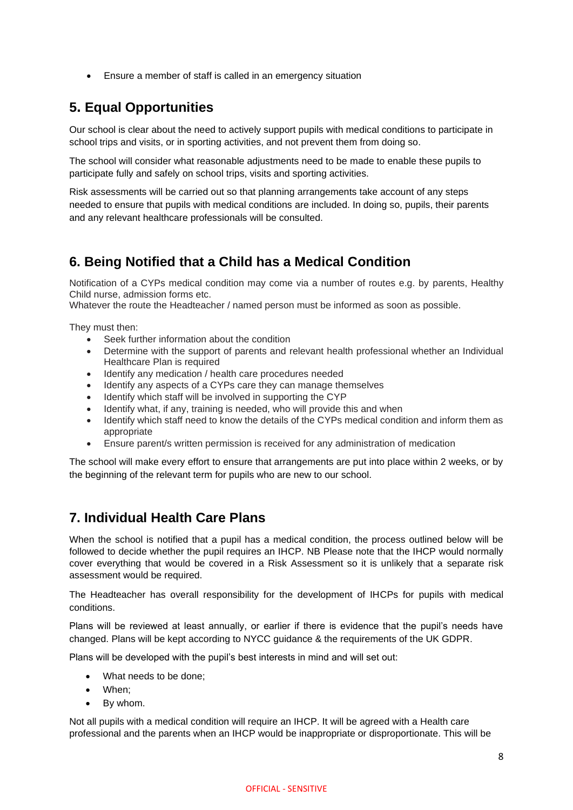• Ensure a member of staff is called in an emergency situation

# **5. Equal Opportunities**

Our school is clear about the need to actively support pupils with medical conditions to participate in school trips and visits, or in sporting activities, and not prevent them from doing so.

The school will consider what reasonable adjustments need to be made to enable these pupils to participate fully and safely on school trips, visits and sporting activities.

Risk assessments will be carried out so that planning arrangements take account of any steps needed to ensure that pupils with medical conditions are included. In doing so, pupils, their parents and any relevant healthcare professionals will be consulted.

## **6. Being Notified that a Child has a Medical Condition**

Notification of a CYPs medical condition may come via a number of routes e.g. by parents, Healthy Child nurse, admission forms etc.

Whatever the route the Headteacher / named person must be informed as soon as possible.

They must then:

- Seek further information about the condition
- Determine with the support of parents and relevant health professional whether an Individual Healthcare Plan is required
- Identify any medication / health care procedures needed
- Identify any aspects of a CYPs care they can manage themselves
- Identify which staff will be involved in supporting the CYP
- Identify what, if any, training is needed, who will provide this and when
- Identify which staff need to know the details of the CYPs medical condition and inform them as appropriate
- Ensure parent/s written permission is received for any administration of medication

The school will make every effort to ensure that arrangements are put into place within 2 weeks, or by the beginning of the relevant term for pupils who are new to our school.

# **7. Individual Health Care Plans**

When the school is notified that a pupil has a medical condition, the process outlined below will be followed to decide whether the pupil requires an IHCP. NB Please note that the IHCP would normally cover everything that would be covered in a Risk Assessment so it is unlikely that a separate risk assessment would be required.

The Headteacher has overall responsibility for the development of IHCPs for pupils with medical conditions.

Plans will be reviewed at least annually, or earlier if there is evidence that the pupil's needs have changed. Plans will be kept according to NYCC guidance & the requirements of the UK GDPR.

Plans will be developed with the pupil's best interests in mind and will set out:

- What needs to be done;
- When;
- By whom.

Not all pupils with a medical condition will require an IHCP. It will be agreed with a Health care professional and the parents when an IHCP would be inappropriate or disproportionate. This will be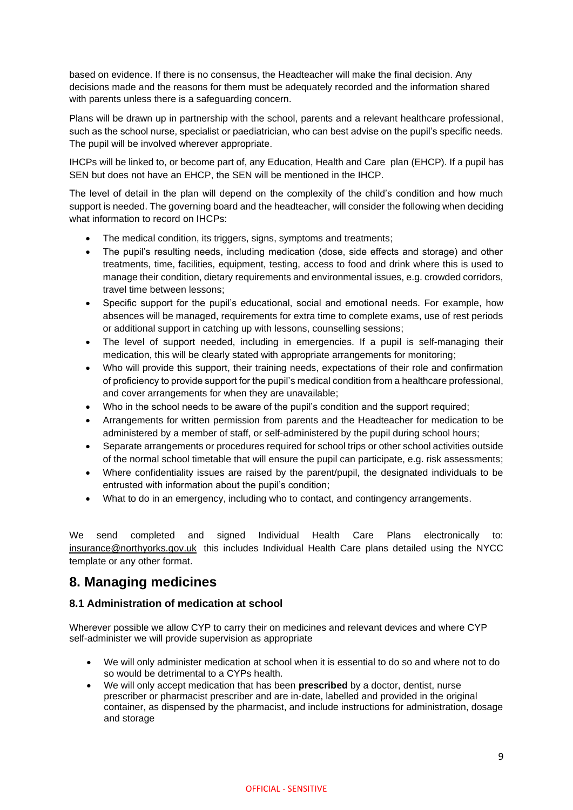based on evidence. If there is no consensus, the Headteacher will make the final decision. Any decisions made and the reasons for them must be adequately recorded and the information shared with parents unless there is a safeguarding concern.

Plans will be drawn up in partnership with the school, parents and a relevant healthcare professional, such as the school nurse, specialist or paediatrician, who can best advise on the pupil's specific needs. The pupil will be involved wherever appropriate.

IHCPs will be linked to, or become part of, any Education, Health and Care plan (EHCP). If a pupil has SEN but does not have an EHCP, the SEN will be mentioned in the IHCP.

The level of detail in the plan will depend on the complexity of the child's condition and how much support is needed. The governing board and the headteacher, will consider the following when deciding what information to record on IHCPs:

- The medical condition, its triggers, signs, symptoms and treatments;
- The pupil's resulting needs, including medication (dose, side effects and storage) and other treatments, time, facilities, equipment, testing, access to food and drink where this is used to manage their condition, dietary requirements and environmental issues, e.g. crowded corridors, travel time between lessons;
- Specific support for the pupil's educational, social and emotional needs. For example, how absences will be managed, requirements for extra time to complete exams, use of rest periods or additional support in catching up with lessons, counselling sessions;
- The level of support needed, including in emergencies. If a pupil is self-managing their medication, this will be clearly stated with appropriate arrangements for monitoring;
- Who will provide this support, their training needs, expectations of their role and confirmation of proficiency to provide support for the pupil's medical condition from a healthcare professional, and cover arrangements for when they are unavailable;
- Who in the school needs to be aware of the pupil's condition and the support required;
- Arrangements for written permission from parents and the Headteacher for medication to be administered by a member of staff, or self-administered by the pupil during school hours;
- Separate arrangements or procedures required for school trips or other school activities outside of the normal school timetable that will ensure the pupil can participate, e.g. risk assessments;
- Where confidentiality issues are raised by the parent/pupil, the designated individuals to be entrusted with information about the pupil's condition;
- What to do in an emergency, including who to contact, and contingency arrangements.

We send completed and signed Individual Health Care Plans electronically to: [insurance@northyorks.gov.uk](mailto:insurance@northyorks.gov.uk) this includes Individual Health Care plans detailed using the NYCC template or any other format.

## **8. Managing medicines**

## **8.1 Administration of medication at school**

Wherever possible we allow CYP to carry their on medicines and relevant devices and where CYP self-administer we will provide supervision as appropriate

- We will only administer medication at school when it is essential to do so and where not to do so would be detrimental to a CYPs health.
- We will only accept medication that has been **prescribed** by a doctor, dentist, nurse prescriber or pharmacist prescriber and are in-date, labelled and provided in the original container, as dispensed by the pharmacist, and include instructions for administration, dosage and storage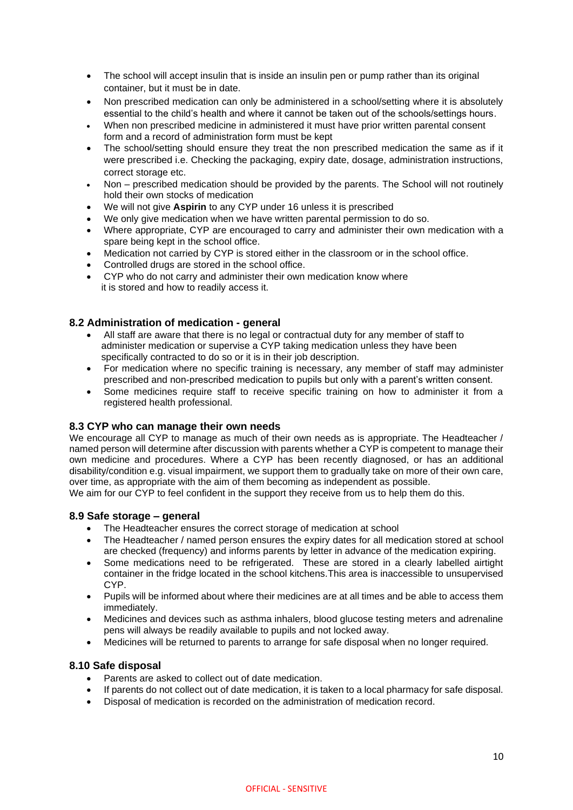- The school will accept insulin that is inside an insulin pen or pump rather than its original container, but it must be in date.
- Non prescribed medication can only be administered in a school/setting where it is absolutely essential to the child's health and where it cannot be taken out of the schools/settings hours.
- When non prescribed medicine in administered it must have prior written parental consent form and a record of administration form must be kept
- The school/setting should ensure they treat the non prescribed medication the same as if it were prescribed i.e. Checking the packaging, expiry date, dosage, administration instructions, correct storage etc.
- Non prescribed medication should be provided by the parents. The School will not routinely hold their own stocks of medication
- We will not give **Aspirin** to any CYP under 16 unless it is prescribed
- We only give medication when we have written parental permission to do so.
- Where appropriate, CYP are encouraged to carry and administer their own medication with a spare being kept in the school office.
- Medication not carried by CYP is stored either in the classroom or in the school office.
- Controlled drugs are stored in the school office.
- CYP who do not carry and administer their own medication know where it is stored and how to readily access it.

#### **8.2 Administration of medication - general**

- All staff are aware that there is no legal or contractual duty for any member of staff to administer medication or supervise a CYP taking medication unless they have been specifically contracted to do so or it is in their job description.
- For medication where no specific training is necessary, any member of staff may administer prescribed and non-prescribed medication to pupils but only with a parent's written consent.
- Some medicines require staff to receive specific training on how to administer it from a registered health professional.

#### **8.3 CYP who can manage their own needs**

We encourage all CYP to manage as much of their own needs as is appropriate. The Headteacher / named person will determine after discussion with parents whether a CYP is competent to manage their own medicine and procedures. Where a CYP has been recently diagnosed, or has an additional disability/condition e.g. visual impairment, we support them to gradually take on more of their own care, over time, as appropriate with the aim of them becoming as independent as possible.

We aim for our CYP to feel confident in the support they receive from us to help them do this.

## **8.9 Safe storage – general**

- The Headteacher ensures the correct storage of medication at school
- The Headteacher / named person ensures the expiry dates for all medication stored at school are checked (frequency) and informs parents by letter in advance of the medication expiring.
- Some medications need to be refrigerated. These are stored in a clearly labelled airtight container in the fridge located in the school kitchens.This area is inaccessible to unsupervised CYP.
- Pupils will be informed about where their medicines are at all times and be able to access them immediately.
- Medicines and devices such as asthma inhalers, blood glucose testing meters and adrenaline pens will always be readily available to pupils and not locked away.
- Medicines will be returned to parents to arrange for safe disposal when no longer required.

## **8.10 Safe disposal**

- Parents are asked to collect out of date medication.
- If parents do not collect out of date medication, it is taken to a local pharmacy for safe disposal.
- Disposal of medication is recorded on the administration of medication record.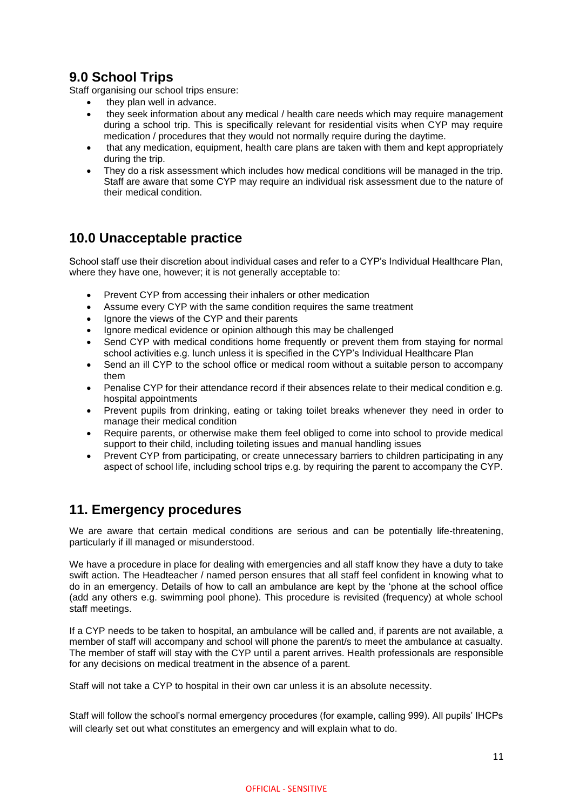# **9.0 School Trips**

Staff organising our school trips ensure:

- they plan well in advance.
- they seek information about any medical / health care needs which may require management during a school trip. This is specifically relevant for residential visits when CYP may require medication / procedures that they would not normally require during the daytime.
- that any medication, equipment, health care plans are taken with them and kept appropriately during the trip.
- They do a risk assessment which includes how medical conditions will be managed in the trip. Staff are aware that some CYP may require an individual risk assessment due to the nature of their medical condition.

# **10.0 Unacceptable practice**

School staff use their discretion about individual cases and refer to a CYP's Individual Healthcare Plan, where they have one, however; it is not generally acceptable to:

- Prevent CYP from accessing their inhalers or other medication
- Assume every CYP with the same condition requires the same treatment
- Ignore the views of the CYP and their parents
- Ignore medical evidence or opinion although this may be challenged
- Send CYP with medical conditions home frequently or prevent them from staying for normal school activities e.g. lunch unless it is specified in the CYP's Individual Healthcare Plan
- Send an ill CYP to the school office or medical room without a suitable person to accompany them
- Penalise CYP for their attendance record if their absences relate to their medical condition e.g. hospital appointments
- Prevent pupils from drinking, eating or taking toilet breaks whenever they need in order to manage their medical condition
- Require parents, or otherwise make them feel obliged to come into school to provide medical support to their child, including toileting issues and manual handling issues
- Prevent CYP from participating, or create unnecessary barriers to children participating in any aspect of school life, including school trips e.g. by requiring the parent to accompany the CYP.

# **11. Emergency procedures**

We are aware that certain medical conditions are serious and can be potentially life-threatening, particularly if ill managed or misunderstood.

We have a procedure in place for dealing with emergencies and all staff know they have a duty to take swift action. The Headteacher / named person ensures that all staff feel confident in knowing what to do in an emergency. Details of how to call an ambulance are kept by the 'phone at the school office (add any others e.g. swimming pool phone). This procedure is revisited (frequency) at whole school staff meetings.

If a CYP needs to be taken to hospital, an ambulance will be called and, if parents are not available, a member of staff will accompany and school will phone the parent/s to meet the ambulance at casualty. The member of staff will stay with the CYP until a parent arrives. Health professionals are responsible for any decisions on medical treatment in the absence of a parent.

Staff will not take a CYP to hospital in their own car unless it is an absolute necessity.

Staff will follow the school's normal emergency procedures (for example, calling 999). All pupils' IHCPs will clearly set out what constitutes an emergency and will explain what to do.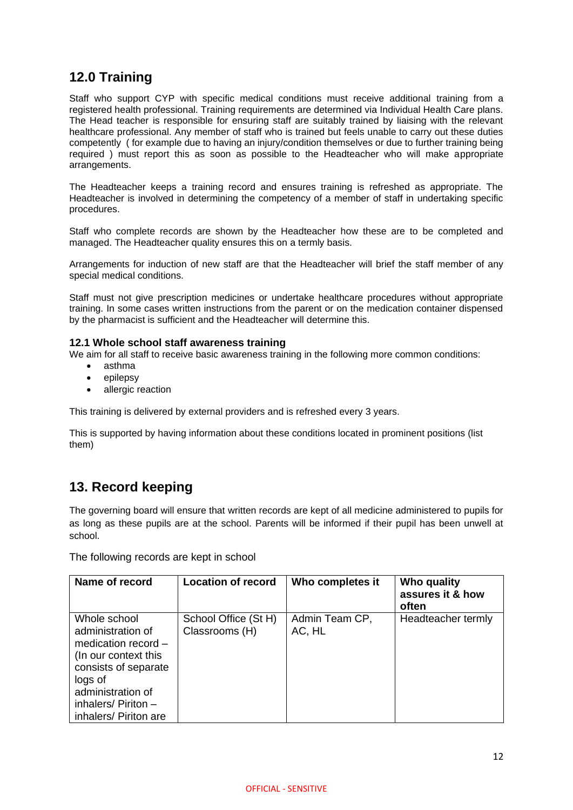# **12.0 Training**

Staff who support CYP with specific medical conditions must receive additional training from a registered health professional. Training requirements are determined via Individual Health Care plans. The Head teacher is responsible for ensuring staff are suitably trained by liaising with the relevant healthcare professional. Any member of staff who is trained but feels unable to carry out these duties competently ( for example due to having an injury/condition themselves or due to further training being required ) must report this as soon as possible to the Headteacher who will make appropriate arrangements.

The Headteacher keeps a training record and ensures training is refreshed as appropriate. The Headteacher is involved in determining the competency of a member of staff in undertaking specific procedures.

Staff who complete records are shown by the Headteacher how these are to be completed and managed. The Headteacher quality ensures this on a termly basis.

Arrangements for induction of new staff are that the Headteacher will brief the staff member of any special medical conditions.

Staff must not give prescription medicines or undertake healthcare procedures without appropriate training. In some cases written instructions from the parent or on the medication container dispensed by the pharmacist is sufficient and the Headteacher will determine this.

#### **12.1 Whole school staff awareness training**

We aim for all staff to receive basic awareness training in the following more common conditions:

- asthma
- epilepsy
- allergic reaction

This training is delivered by external providers and is refreshed every 3 years.

This is supported by having information about these conditions located in prominent positions (list them)

## **13. Record keeping**

The governing board will ensure that written records are kept of all medicine administered to pupils for as long as these pupils are at the school. Parents will be informed if their pupil has been unwell at school.

The following records are kept in school

| Name of record                                                                                                                                                                               | <b>Location of record</b>              | Who completes it         | Who quality<br>assures it & how<br>often |
|----------------------------------------------------------------------------------------------------------------------------------------------------------------------------------------------|----------------------------------------|--------------------------|------------------------------------------|
| Whole school<br>administration of<br>medication record $-$<br>(In our context this<br>consists of separate<br>logs of<br>administration of<br>inhalers/ Piriton $-$<br>inhalers/ Piriton are | School Office (St H)<br>Classrooms (H) | Admin Team CP,<br>AC, HL | Headteacher termly                       |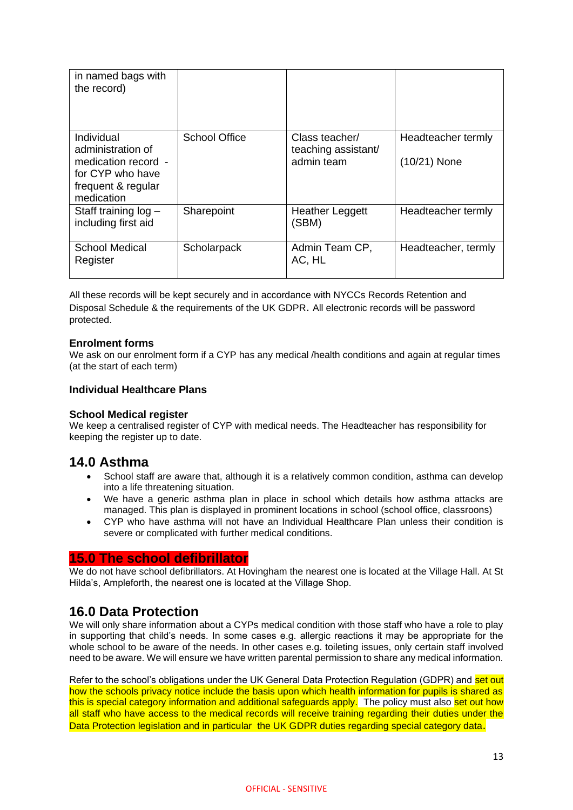| in named bags with<br>the record)                                                                              |                      |                                                     |                                      |
|----------------------------------------------------------------------------------------------------------------|----------------------|-----------------------------------------------------|--------------------------------------|
| Individual<br>administration of<br>medication record -<br>for CYP who have<br>frequent & regular<br>medication | <b>School Office</b> | Class teacher/<br>teaching assistant/<br>admin team | Headteacher termly<br>$(10/21)$ None |
| Staff training log -<br>including first aid                                                                    | Sharepoint           | <b>Heather Leggett</b><br>(SBM)                     | Headteacher termly                   |
| <b>School Medical</b><br>Register                                                                              | Scholarpack          | Admin Team CP,<br>AC, HL                            | Headteacher, termly                  |

All these records will be kept securely and in accordance with NYCCs Records Retention and Disposal Schedule & the requirements of the UK GDPR. All electronic records will be password protected.

#### **Enrolment forms**

We ask on our enrolment form if a CYP has any medical /health conditions and again at regular times (at the start of each term)

#### **Individual Healthcare Plans**

#### **School Medical register**

We keep a centralised register of CYP with medical needs. The Headteacher has responsibility for keeping the register up to date.

## **14.0 Asthma**

- School staff are aware that, although it is a relatively common condition, asthma can develop into a life threatening situation.
- We have a generic asthma plan in place in school which details how asthma attacks are managed. This plan is displayed in prominent locations in school (school office, classroons)
- CYP who have asthma will not have an Individual Healthcare Plan unless their condition is severe or complicated with further medical conditions.

## **15.0 The school defibrillator**

We do not have school defibrillators. At Hovingham the nearest one is located at the Village Hall. At St Hilda's, Ampleforth, the nearest one is located at the Village Shop.

## **16.0 Data Protection**

We will only share information about a CYPs medical condition with those staff who have a role to play in supporting that child's needs. In some cases e.g. allergic reactions it may be appropriate for the whole school to be aware of the needs. In other cases e.g. toileting issues, only certain staff involved need to be aware. We will ensure we have written parental permission to share any medical information.

Refer to the school's obligations under the UK General Data Protection Regulation (GDPR) and set out how the schools privacy notice include the basis upon which health information for pupils is shared as this is special category information and additional safeguards apply. The policy must also set out how all staff who have access to the medical records will receive training regarding their duties under the Data Protection legislation and in particular the UK GDPR duties regarding special category data.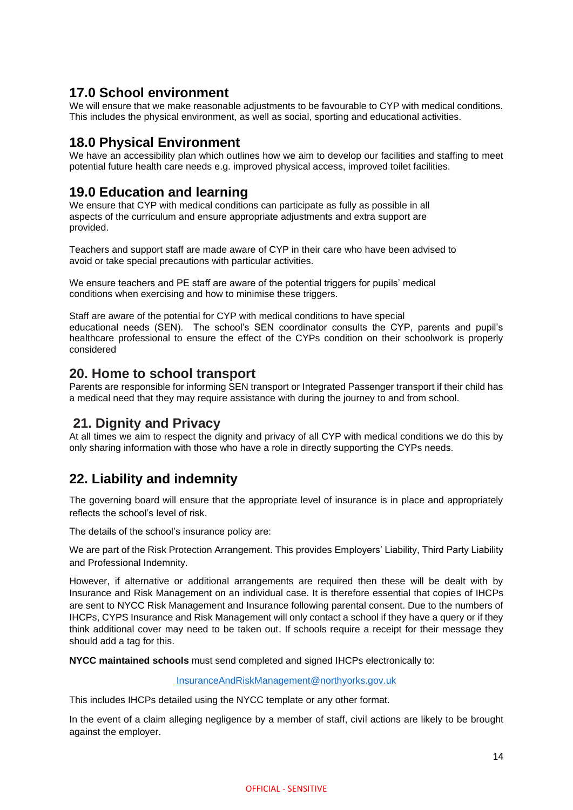## **17.0 School environment**

We will ensure that we make reasonable adjustments to be favourable to CYP with medical conditions. This includes the physical environment, as well as social, sporting and educational activities.

## **18.0 Physical Environment**

We have an accessibility plan which outlines how we aim to develop our facilities and staffing to meet potential future health care needs e.g. improved physical access, improved toilet facilities.

# **19.0 Education and learning**

We ensure that CYP with medical conditions can participate as fully as possible in all aspects of the curriculum and ensure appropriate adjustments and extra support are provided.

Teachers and support staff are made aware of CYP in their care who have been advised to avoid or take special precautions with particular activities.

We ensure teachers and PE staff are aware of the potential triggers for pupils' medical conditions when exercising and how to minimise these triggers.

Staff are aware of the potential for CYP with medical conditions to have special educational needs (SEN). The school's SEN coordinator consults the CYP, parents and pupil's healthcare professional to ensure the effect of the CYPs condition on their schoolwork is properly considered

## **20. Home to school transport**

Parents are responsible for informing SEN transport or Integrated Passenger transport if their child has a medical need that they may require assistance with during the journey to and from school.

## **21. Dignity and Privacy**

At all times we aim to respect the dignity and privacy of all CYP with medical conditions we do this by only sharing information with those who have a role in directly supporting the CYPs needs.

# **22. Liability and indemnity**

The governing board will ensure that the appropriate level of insurance is in place and appropriately reflects the school's level of risk.

The details of the school's insurance policy are:

We are part of the Risk Protection Arrangement. This provides Employers' Liability, Third Party Liability and Professional Indemnity.

However, if alternative or additional arrangements are required then these will be dealt with by Insurance and Risk Management on an individual case. It is therefore essential that copies of IHCPs are sent to NYCC Risk Management and Insurance following parental consent. Due to the numbers of IHCPs, CYPS Insurance and Risk Management will only contact a school if they have a query or if they think additional cover may need to be taken out. If schools require a receipt for their message they should add a tag for this.

**NYCC maintained schools** must send completed and signed IHCPs electronically to:

[InsuranceAndRiskManagement@northyorks.gov.uk](mailto:InsuranceAndRiskManagement@northyorks.gov.uk)

This includes IHCPs detailed using the NYCC template or any other format.

In the event of a claim alleging negligence by a member of staff, civil actions are likely to be brought against the employer.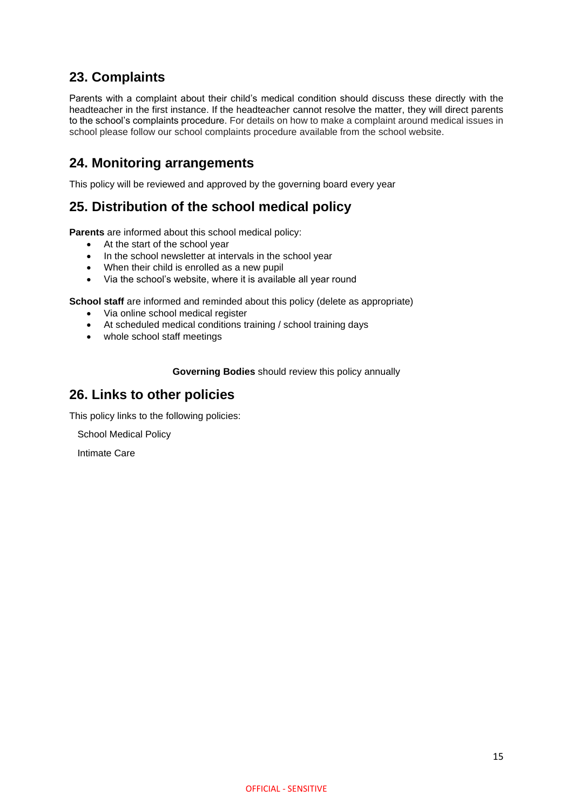# **23. Complaints**

Parents with a complaint about their child's medical condition should discuss these directly with the headteacher in the first instance. If the headteacher cannot resolve the matter, they will direct parents to the school's complaints procedure. For details on how to make a complaint around medical issues in school please follow our school complaints procedure available from the school website.

# **24. Monitoring arrangements**

This policy will be reviewed and approved by the governing board every year

# **25. Distribution of the school medical policy**

**Parents** are informed about this school medical policy:

- At the start of the school year
- In the school newsletter at intervals in the school year
- When their child is enrolled as a new pupil
- Via the school's website, where it is available all year round

**School staff** are informed and reminded about this policy (delete as appropriate)

- Via online school medical register
- At scheduled medical conditions training / school training days
- whole school staff meetings

**Governing Bodies** should review this policy annually

## **26. Links to other policies**

This policy links to the following policies:

School Medical Policy

Intimate Care